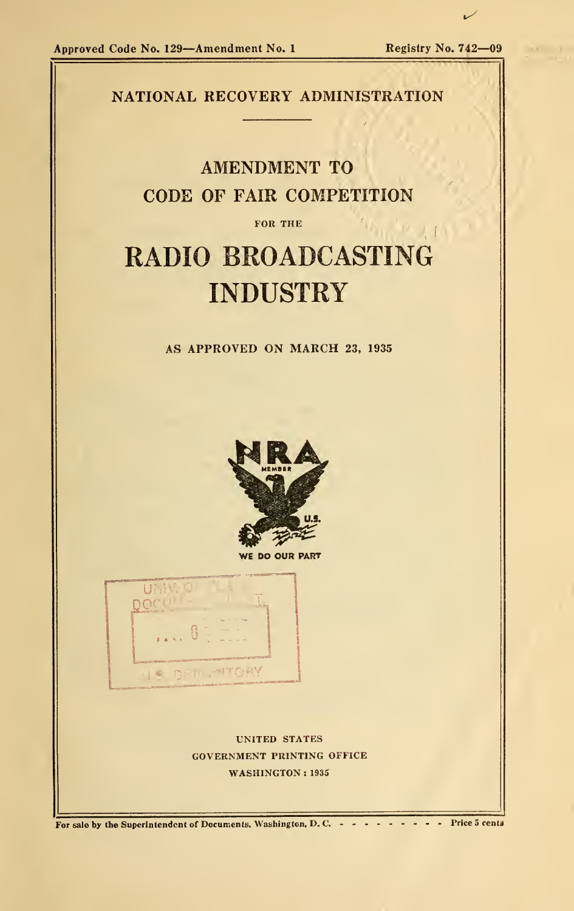

For sale by the Superintendent of Documents, Washington, D. C. - - - - - - - - - Price 5 cents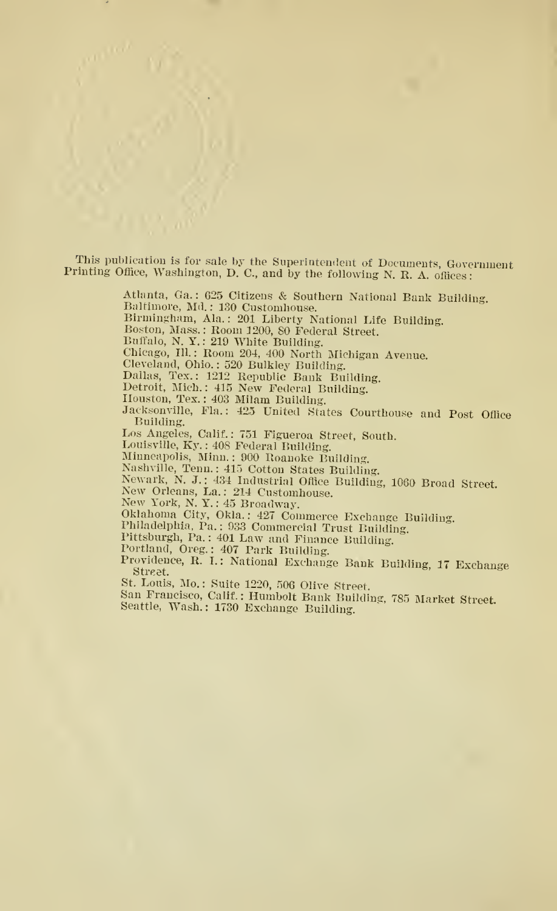This publication is for sale by the Superintendent of Documents, Government Printing Office, Washington, D. C., and by the following N. R. A. offices:

> Atlanta, Ga.: 625 Citizens & Southern National Bank Building. Baltimore, Md.: 130 Customhouse. Birmingham, Ala. : <sup>201</sup> Liberty National Life Building. Boston, Mass. : Room 1200, <sup>80</sup> Federal Street. Buffalo, N. Y.: 219 White Building. Chicago, 111. : Room 204, 400 North Michigan Avenue. Cleveland, Ohio. : 520 Bulkley Building. Dallas, Tex.: 1212 Republic Bank Building. Detroit, Mich.: 415 New Federal Building. Houston, Tex. : 403 Milam Building. Jacksonville, Fla.: 425 United States Courthouse and Post Office Building. Los Angeles, Calif. : 751 Figueroa Street, South. Louisville, Ky. : 408 Federal Building. Minneapolis, Minn. : 900 Roanoke Building. Nashville, Tenn. : 415 Cotton States Building. Newark, N. J. : 434 Industrial Office Building, 1060 Broad Street.<br>New Orleans, La.: 214 Customhouse.<br>New York, N. Y. : 45 Broadway. Oklahoma City, Okla.: 427 Commerce Exchange Building.<br>Philadelphia, Pa.: 933 Commercial Trust Building. Pittsburgh, Pa.: 401 Law and Finance Building. Portland, Oreg. : 407 Park Building. Providence, R. I.: National Exchange Bank Building, <sup>17</sup> Exchange Street.<br>St. Louis, Mo.: Suite 1220, 506 Olive Street. San Francisco, Calif. : Humbolt Bank Building, 785 Market Street.<br>Seattle, Wash. : 1730 Exchange Building.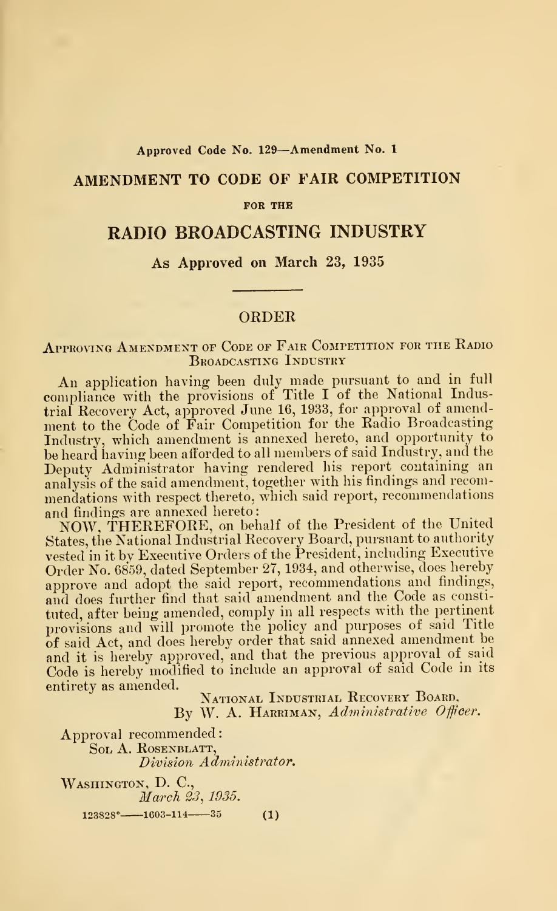#### Approved Code No. <sup>129</sup>—Amendment No. <sup>1</sup>

## AMENDMENT TO CODE OF FAIR COMPETITION

#### FOR THE

## RADIO BROADCASTING INDUSTRY

#### As Approved on March 23, 1935

#### ORDER

### APPROVING AMENDMENT OF CODE OF FAIR COMPETITION FOR THE RADIO Broadcasting Industry

An application having been duly made pursuant to and in full compliance with the provisions of Title I of the National Industrial Recovery Act, approved June 16, 1933, for approval of amendment to the Code of Fair Competition for the Radio Broadcasting Industry, which amendment is annexed hereto, and opportunity to be heard having been afforded to all members of said Industry, and the Deputy Administrator having rendered his report containing an analysis of the said amendment, together with his findings and recom mendations with respect thereto, which said report, recommendations and findings are annexed hereto

NOW, THEREFORE, on behalf of the President of the United States, the National Industrial Recovery Board, pursuant to authority vested in it by Executive Orders of the President, including Executive Order No. 6859, dated September 27, 1934, and otherwise, does hereby approve and adopt the said report, recommendations and findings, and does further find that said amendment and the Code as constituted, after being amended, comply in all respects with the pertinent provisions and will promote the policy and purposes of said Title of said Act, and does hereby order that said annexed amendment be and it is hereby approved, and that the previous approval of said Code is hereby modified to include an approval of said Code in its entirety as amended.

National Industrial Recovery Board, By W. A. HARRIMAN,  $Administrative$  Officer.

Approval recommended Sol A. Rosenblatt, Division Administrator. WASHINGTON, D. C., March 23, 1935.  $123828^{\circ}$  ---1603-114 ----35 (1)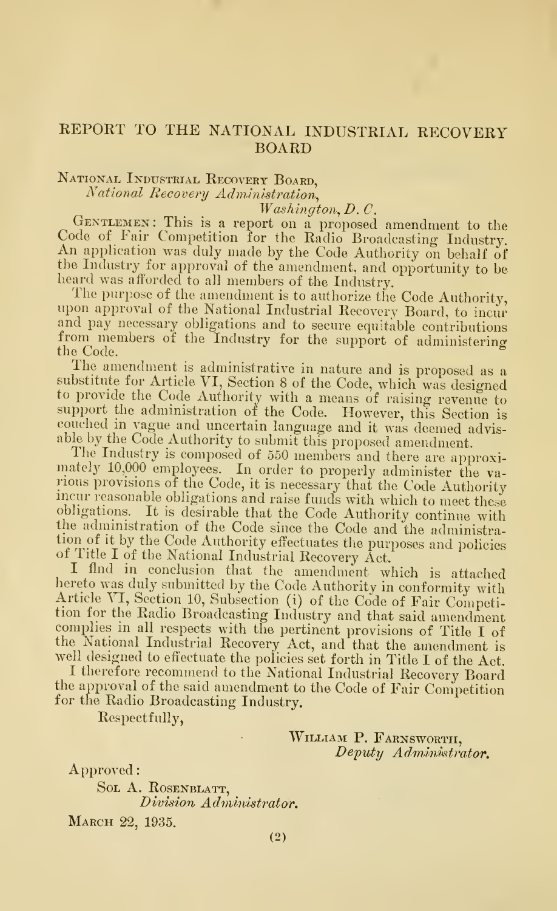## REPORT TO THE NATIONAL INDUSTRIAL RECOVERY BOARD

# National Industrial Recovery Board,

National Recovery Administration,<br>Washington, D.C.

GENTLEMEN: This is a report on a proposed amendment to the Code of Fair Competition for the Radio Broadcasting Industry. An application was duly made by the Code Authority on behalf of the Industry for approval of the amendment, and opportunity to be lieard was afforded to all members of the Industry.

The purpose of the amendment is to authorize the Code Authority, upon approval of the National Industrial Recovery Board, to incur and pay necessary obligations and to secure equitable contributions from members of the Industry for the support of administering the Code. ^

The amendment is administrative in nature and is proposed as <sup>a</sup> substitute for Article VI, Section 8 of the Code, which was designed to provide the Code Authority with a means of raising revenue to support the administration of the Code. However, this Section is couched in vague and uncertain language and it was deemed advisable by the Code Authority to submit this proposed amendment.<br>The Industry is composed of 550 members and there are approxi-

mately 10,000 employees. In order to properly administer the various provisions of the Code, it is necessary that the Code Authority incur reasonable obligations and raise funds with which to meet these obligations. It is desirable that the Code Authority continue with the administration of the Code since the Code and the administration of it by the Code Authority effectuates the purposes and policies of Title I of the National Industrial Recovery Act.

I flnd in conclusion that the amendment which is attached hereto was duly submitted by the Code Authority in conformity with Article VI, Section 10, Subsection (i) of the Code of Fair Competition for the Radio Broadcasting Industry and that said amendment complies in all respects with the pertinent provisions of Title I of the National Industrial Recovery Act, and that the amendment is well designed to effectuate the policies set forth in Title <sup>I</sup> of the Act.

well designed to effectuate the policies set forth in Title I of the Act.<br>I therefore recommend to the National Industrial Recovery Board the approval of the said amendment to the Code of Fair Competition for the Radio Broadcasting Industry.

Respectfully,

WILLIAM P. FARNSWORTH, Deputy Administrator.

Approved:

SOL A. ROSENBLATT, Division Administrator.

March 22, 1935.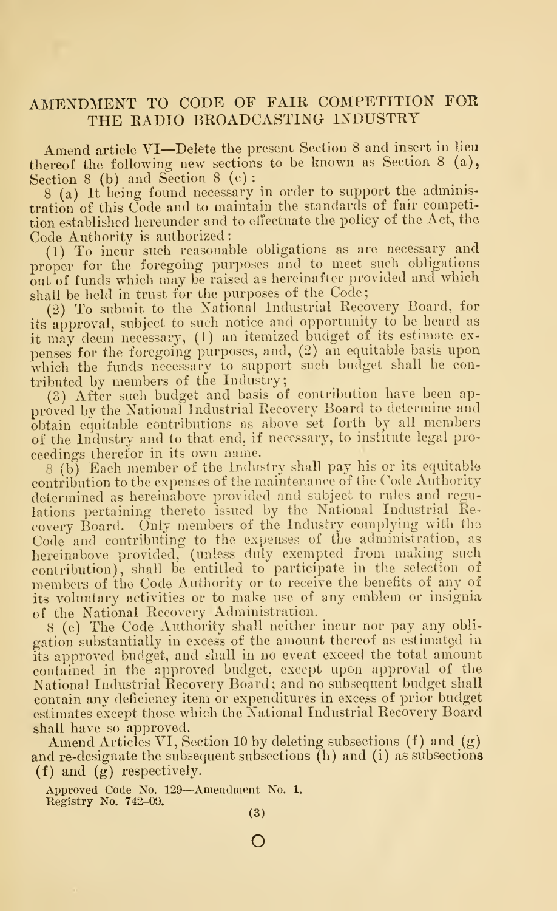# AMENDMENT TO CODE OF FAIR COMPETITION FOR THE RADIO BROADCASTING INDUSTRY

Amend article VI—Delete the present Section <sup>8</sup> and insert in lieu thereof the following new sections to be known as Section <sup>8</sup> (a), Section 8 (b) and Section <sup>8</sup> (c) :

<sup>8</sup> (a) It being found necessary in order to support the administration of this Code and to maintain the standards of fair competition established hereunder and to etiectuate the policy of the Act, the Code Authority is authorized:

(1) To incur such reasonable obligations as are necessary and proper for the foregoing purposes and to meet such obligations out of funds which may be raised as hereinafter provided and which shall be held in trust for the purposes of the Code

(2) To submit to the National Industrial Recovery Board, for its approval, subject to such notice and opportunity to be heard as it may deem necessary, (1) an itemized budget of its estimate ex penses for the foregoing purposes, and, (2) an equitable basis upon which the funds necessary to support such budget shall be contributed by members of the Industry;

(3) After such budget and basis of contribution have been approved by the National Industrial Recovery Board to determine and obtain equitable contributions as above set forth by all members of the Industry and to that end, if necessary, to institute legal pro ceedings therefor in its own name.

<sup>8</sup> (b) Each member of the Industry shall pay his or its equitable contribution to the expenses of the maintenance of the Code Authority determined as hereinabove provided and subject to rules and regulations pertaining thereto issued by the National Industrial Recovery Board. Only members of the Industry complying with the Code and contributing to the expenses of the administration, as hereinabove provided, (unless duly exempted from making such contribution), shall be entitled to participate in the selection of members of the Code Authority or to receive the benefits of any of its voluntary activities or to make use of any emblem or insignia of the National Recovery Administration.

<sup>8</sup> (c) The Code Authority shall neither incur nor pay any obli gation substantially in excess of the amount thereof as estimated in its approved budget, and shall in no event exceed the total amount contained in the approved budget, except upon approval of the National Industrial Recovery Board ; and no subsequent budget shall contain any deficiency item or expenditures in excess of prior budget estimates except those which the National Industrial Recovery Board shall have so approved.

Amend Articles VI, Section 10 by deleting subsections  $(f)$  and  $(g)$ and re-designate the subsequent subsections (h) and (i) as subsections (f) and (g) respectively.

Approved Code No. <sup>129</sup>—Amendment No. 1. Registry No. 742-09.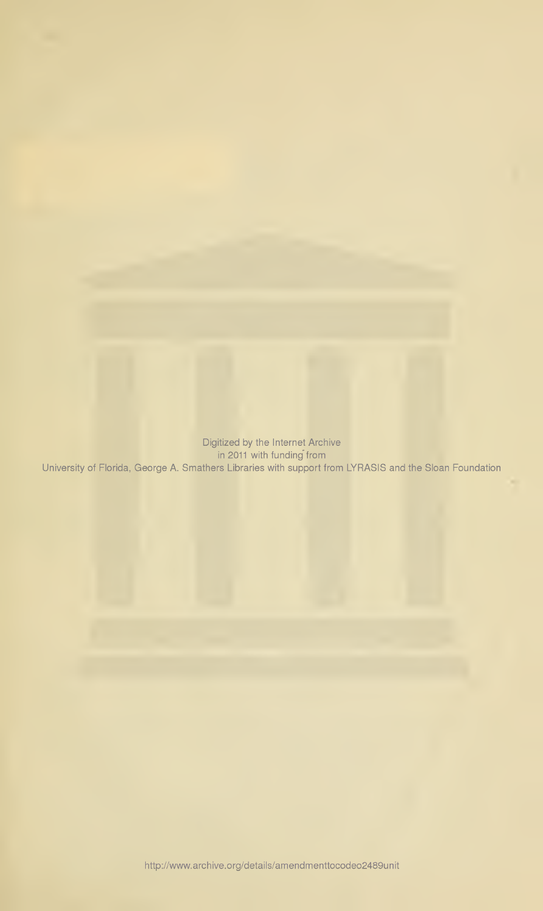Digitized by the Internet Archive in 2011 with funding from University of Florida, George A. Smathers Libraries with support from LYRASIS and the Sloan Foundation